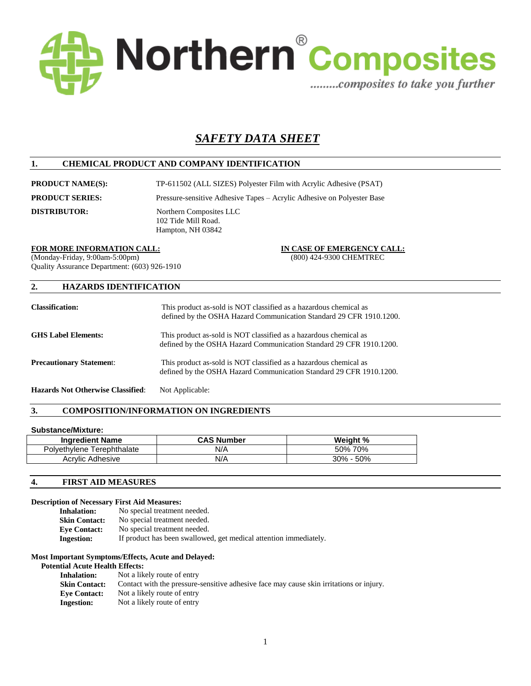

# *SAFETY DATA SHEET*

## **1. CHEMICAL PRODUCT AND COMPANY IDENTIFICATION**

**PRODUCT NAME(S):** TP-611502 (ALL SIZES) Polyester Film with Acrylic Adhesive (PSAT)

**PRODUCT SERIES:** Pressure-sensitive Adhesive Tapes – Acrylic Adhesive on Polyester Base

**DISTRIBUTOR:** Northern Composites LLC 102 Tide Mill Road. Hampton, NH 03842

#### **FOR MORE INFORMATION CALL: IN CASE OF EMERGENCY CALL:**

(Monday-Friday, 9:00am-5:00pm) (800) 424-9300 CHEMTREC Quality Assurance Department: (603) 926-1910

## **2. HAZARDS IDENTIFICATION**

| <b>Classification:</b>          | This product as-sold is NOT classified as a hazardous chemical as<br>defined by the OSHA Hazard Communication Standard 29 CFR 1910.1200. |
|---------------------------------|------------------------------------------------------------------------------------------------------------------------------------------|
| <b>GHS Label Elements:</b>      | This product as-sold is NOT classified as a hazardous chemical as<br>defined by the OSHA Hazard Communication Standard 29 CFR 1910.1200. |
| <b>Precautionary Statement:</b> | This product as-sold is NOT classified as a hazardous chemical as<br>defined by the OSHA Hazard Communication Standard 29 CFR 1910.1200. |

**Hazards Not Otherwise Classified**: Not Applicable:

## **3. COMPOSITION/INFORMATION ON INGREDIENTS**

## **Substance/Mixture:**

| <b>Ingredient Name</b>     | <b>CAS Number</b> | Weight %      |
|----------------------------|-------------------|---------------|
| Polyethylene Terephthalate | N/A               | 50% 70%       |
| Acrylic Adhesive           | N/A               | $30\% - 50\%$ |

#### **4. FIRST AID MEASURES**

#### **Description of Necessary First Aid Measures:**

**Inhalation:** No special treatment needed.<br>**Skin Contact:** No special treatment needed. No special treatment needed. **Eye Contact:** No special treatment needed. **Ingestion:** If product has been swallowed, get medical attention immediately.

#### **Most Important Symptoms/Effects, Acute and Delayed:**

#### **Potential Acute Health Effects:**

| Not a likely route of entry                                                             |
|-----------------------------------------------------------------------------------------|
| Contact with the pressure-sensitive adhesive face may cause skin irritations or injury. |
| Not a likely route of entry                                                             |
| Not a likely route of entry                                                             |
|                                                                                         |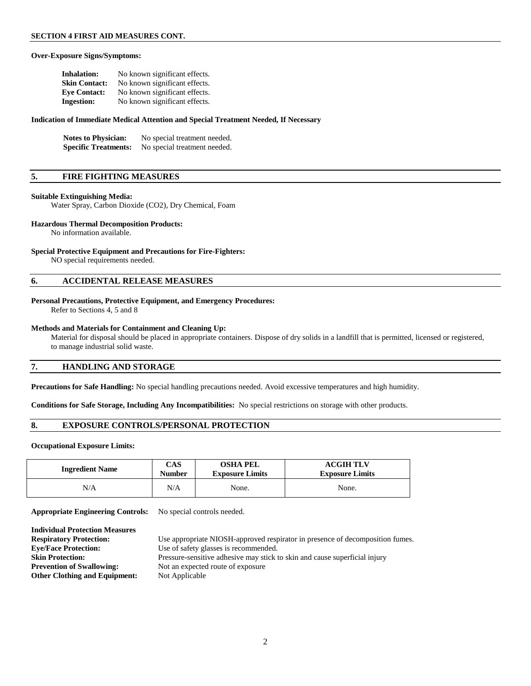### **Over-Exposure Signs/Symptoms:**

| <b>Inhalation:</b>   | No known significant effects. |
|----------------------|-------------------------------|
| <b>Skin Contact:</b> | No known significant effects. |
| <b>Eve Contact:</b>  | No known significant effects. |
| <b>Ingestion:</b>    | No known significant effects. |

#### **Indication of Immediate Medical Attention and Special Treatment Needed, If Necessary**

| <b>Notes to Physician:</b>  | No special treatment needed. |
|-----------------------------|------------------------------|
| <b>Specific Treatments:</b> | No special treatment needed. |

## **5. FIRE FIGHTING MEASURES**

#### **Suitable Extinguishing Media:**

Water Spray, Carbon Dioxide (CO2), Dry Chemical, Foam

#### **Hazardous Thermal Decomposition Products:**

No information available.

#### **Special Protective Equipment and Precautions for Fire-Fighters:**

NO special requirements needed.

#### **6. ACCIDENTAL RELEASE MEASURES**

#### **Personal Precautions, Protective Equipment, and Emergency Procedures:**

Refer to Sections 4, 5 and 8

#### **Methods and Materials for Containment and Cleaning Up:**

 Material for disposal should be placed in appropriate containers. Dispose of dry solids in a landfill that is permitted, licensed or registered, to manage industrial solid waste.

## **7. HANDLING AND STORAGE**

**Precautions for Safe Handling:** No special handling precautions needed. Avoid excessive temperatures and high humidity.

**Conditions for Safe Storage, Including Any Incompatibilities:** No special restrictions on storage with other products.

## **8. EXPOSURE CONTROLS/PERSONAL PROTECTION**

#### **Occupational Exposure Limits:**

**Individual Protection Measures**

| <b>Ingredient Name</b> | CAS    | <b>OSHA PEL</b>        | <b>ACGIH TLV</b>       |
|------------------------|--------|------------------------|------------------------|
|                        | Number | <b>Exposure Limits</b> | <b>Exposure Limits</b> |
| N/A                    | N/A    | None.                  | None.                  |

**Appropriate Engineering Controls:** No special controls needed.

| Use appropriate NIOSH-approved respirator in presence of decomposition fumes. |
|-------------------------------------------------------------------------------|
| Use of safety glasses is recommended.                                         |
| Pressure-sensitive adhesive may stick to skin and cause superficial injury    |
| Not an expected route of exposure                                             |
| Not Applicable                                                                |
|                                                                               |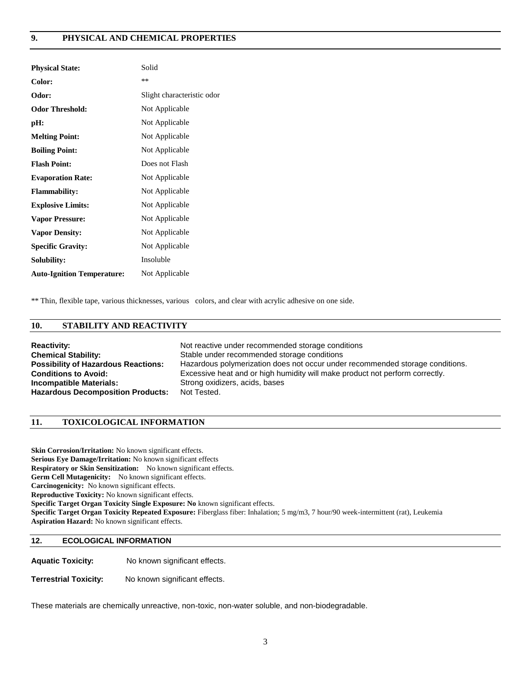## **9. PHYSICAL AND CHEMICAL PROPERTIES**

| <b>Physical State:</b>            | Solid                      |
|-----------------------------------|----------------------------|
| Color:                            | **                         |
| Odor:                             | Slight characteristic odor |
| <b>Odor Threshold:</b>            | Not Applicable             |
| pH:                               | Not Applicable             |
| <b>Melting Point:</b>             | Not Applicable             |
| <b>Boiling Point:</b>             | Not Applicable             |
| <b>Flash Point:</b>               | Does not Flash             |
| <b>Evaporation Rate:</b>          | Not Applicable             |
| <b>Flammability:</b>              | Not Applicable             |
| <b>Explosive Limits:</b>          | Not Applicable             |
| <b>Vapor Pressure:</b>            | Not Applicable             |
| <b>Vapor Density:</b>             | Not Applicable             |
| <b>Specific Gravity:</b>          | Not Applicable             |
| Solubility:                       | Insoluble                  |
| <b>Auto-Ignition Temperature:</b> | Not Applicable             |

\*\* Thin, flexible tape, various thicknesses, various colors, and clear with acrylic adhesive on one side.

## **10. STABILITY AND REACTIVITY**

| <b>Reactivity:</b>                         | Not reactive under recommended storage conditions                             |
|--------------------------------------------|-------------------------------------------------------------------------------|
| <b>Chemical Stability:</b>                 | Stable under recommended storage conditions                                   |
| <b>Possibility of Hazardous Reactions:</b> | Hazardous polymerization does not occur under recommended storage conditions. |
| <b>Conditions to Avoid:</b>                | Excessive heat and or high humidity will make product not perform correctly.  |
| <b>Incompatible Materials:</b>             | Strong oxidizers, acids, bases                                                |
| <b>Hazardous Decomposition Products:</b>   | Not Tested.                                                                   |

## **11. TOXICOLOGICAL INFORMATION**

**Skin Corrosion/Irritation:** No known significant effects. **Serious Eye Damage/Irritation:** No known significant effects **Respiratory or Skin Sensitization:** No known significant effects. **Germ Cell Mutagenicity:** No known significant effects. **Carcinogenicity:** No known significant effects. **Reproductive Toxicity:** No known significant effects. **Specific Target Organ Toxicity Single Exposure: No** known significant effects. **Specific Target Organ Toxicity Repeated Exposure:** Fiberglass fiber: Inhalation; 5 mg/m3, 7 hour/90 week-intermittent (rat), Leukemia **Aspiration Hazard:** No known significant effects.

## **12. ECOLOGICAL INFORMATION**

**Aquatic Toxicity:** No known significant effects.

**Terrestrial Toxicity:** No known significant effects.

These materials are chemically unreactive, non-toxic, non-water soluble, and non-biodegradable.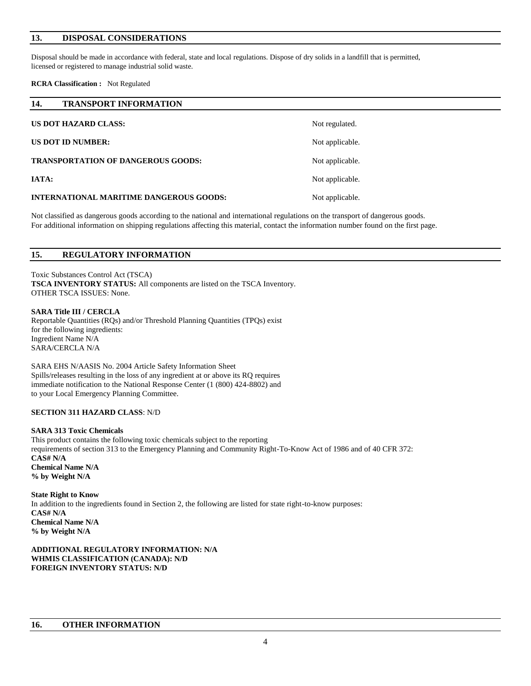## **13. DISPOSAL CONSIDERATIONS**

Disposal should be made in accordance with federal, state and local regulations. Dispose of dry solids in a landfill that is permitted, licensed or registered to manage industrial solid waste.

#### **RCRA Classification :** Not Regulated

| 14.<br><b>TRANSPORT INFORMATION</b>            |                 |
|------------------------------------------------|-----------------|
| <b>US DOT HAZARD CLASS:</b>                    | Not regulated.  |
| <b>US DOT ID NUMBER:</b>                       | Not applicable. |
| <b>TRANSPORTATION OF DANGEROUS GOODS:</b>      | Not applicable. |
| IATA:                                          | Not applicable. |
| <b>INTERNATIONAL MARITIME DANGEROUS GOODS:</b> | Not applicable. |

Not classified as dangerous goods according to the national and international regulations on the transport of dangerous goods. For additional information on shipping regulations affecting this material, contact the information number found on the first page.

| 15. | <b>REGULATORY INFORMATION</b> |
|-----|-------------------------------|
|-----|-------------------------------|

Toxic Substances Control Act (TSCA) **TSCA INVENTORY STATUS:** All components are listed on the TSCA Inventory. OTHER TSCA ISSUES: None.

### **SARA Title III / CERCLA**

Reportable Quantities (RQs) and/or Threshold Planning Quantities (TPQs) exist for the following ingredients: Ingredient Name N/A SARA/CERCLA N/A

SARA EHS N/AASIS No. 2004 Article Safety Information Sheet Spills/releases resulting in the loss of any ingredient at or above its RQ requires immediate notification to the National Response Center (1 (800) 424-8802) and to your Local Emergency Planning Committee.

#### **SECTION 311 HAZARD CLASS**: N/D

#### **SARA 313 Toxic Chemicals**

This product contains the following toxic chemicals subject to the reporting requirements of section 313 to the Emergency Planning and Community Right-To-Know Act of 1986 and of 40 CFR 372: **CAS# N/A Chemical Name N/A % by Weight N/A**

**State Right to Know** In addition to the ingredients found in Section 2, the following are listed for state right-to-know purposes: **CAS# N/A Chemical Name N/A % by Weight N/A**

**ADDITIONAL REGULATORY INFORMATION: N/A WHMIS CLASSIFICATION (CANADA): N/D FOREIGN INVENTORY STATUS: N/D**